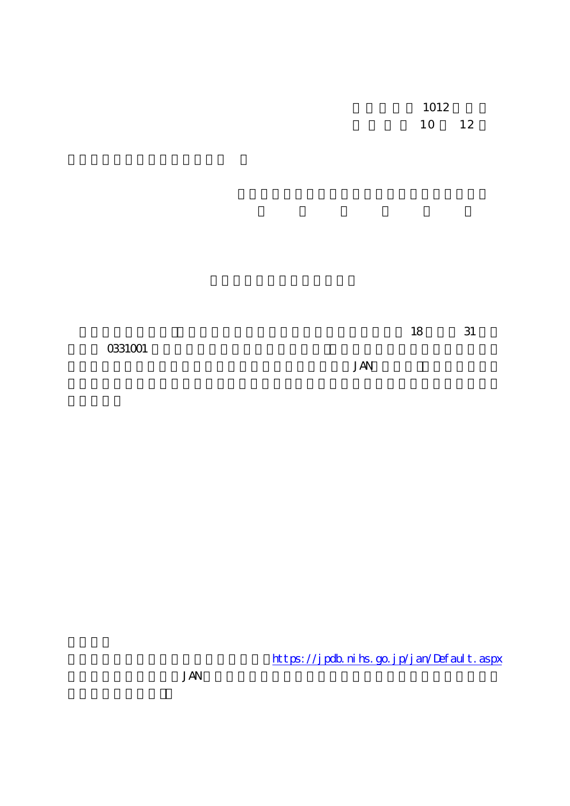1012 10 12

18 31

0331001

JAN

https://jpdb.nihs.go.jp/jan/Default.aspx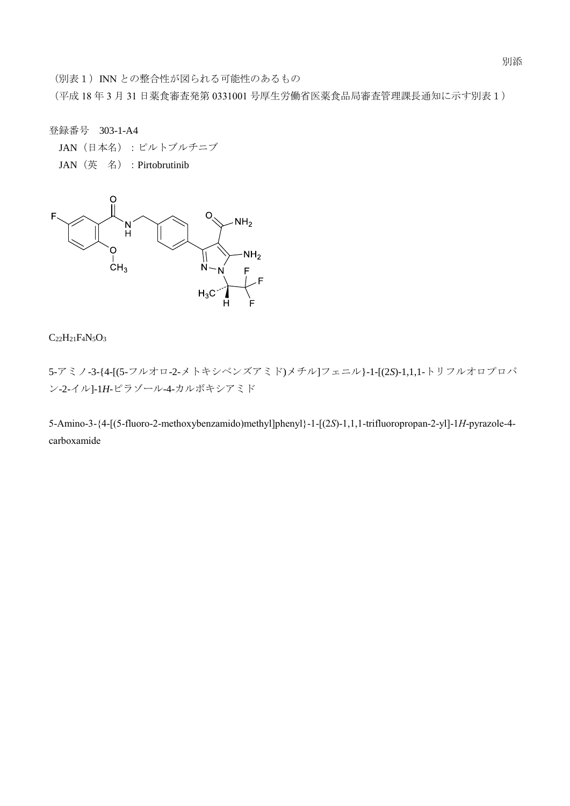別添

(別表1) INN との整合性が図られる可能性のあるもの

(平成 18 年 3 月 31 日薬食審査発第 0331001 号厚生労働省医薬食品局審査管理課長通知に示す別表1)

登録番号 303-1-A4

JAN(日本名):ピルトブルチニブ

JAN(英 名):Pirtobrutinib



# $C_{22}H_{21}F_{4}N_{5}O_{3}$

5-アミノ-3-{4-[(5-フルオロ-2-メトキシベンズアミド)メチル]フェニル}-1-[(2*S*)-1,1,1-トリフルオロプロパ ン-2-イル]-1*H*-ピラゾール-4-カルボキシアミド

5-Amino-3-{4-[(5-fluoro-2-methoxybenzamido)methyl]phenyl}-1-[(2*S*)-1,1,1-trifluoropropan-2-yl]-1*H*-pyrazole-4 carboxamide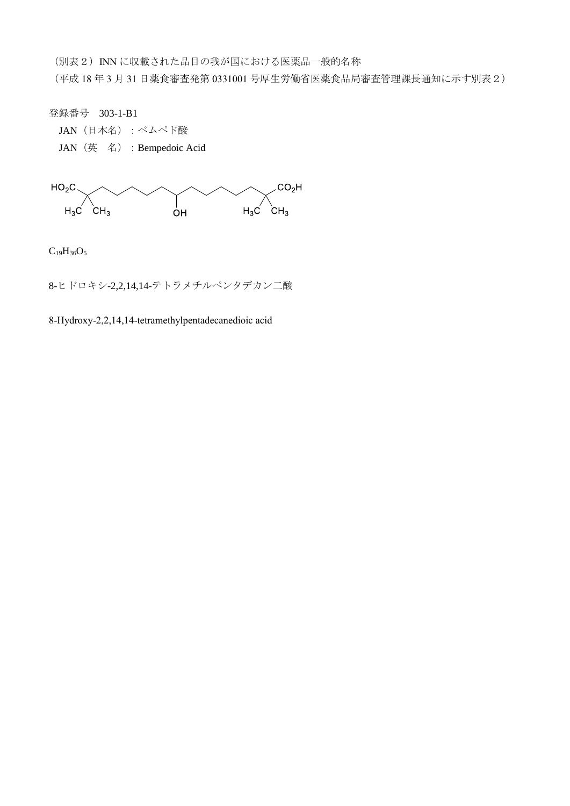(別表2) INN に収載された品目の我が国における医薬品一般的名称

(平成 18 年 3 月 31 日薬食審査発第 0331001 号厚生労働省医薬食品局審査管理課長通知に示す別表2)

登録番号 303-1-B1

JAN(日本名):ベムペド酸 JAN(英 名):Bempedoic Acid



 $C_{19}H_{36}O_5$ 

8-ヒドロキシ-2,2,14,14-テトラメチルペンタデカン二酸

8-Hydroxy-2,2,14,14-tetramethylpentadecanedioic acid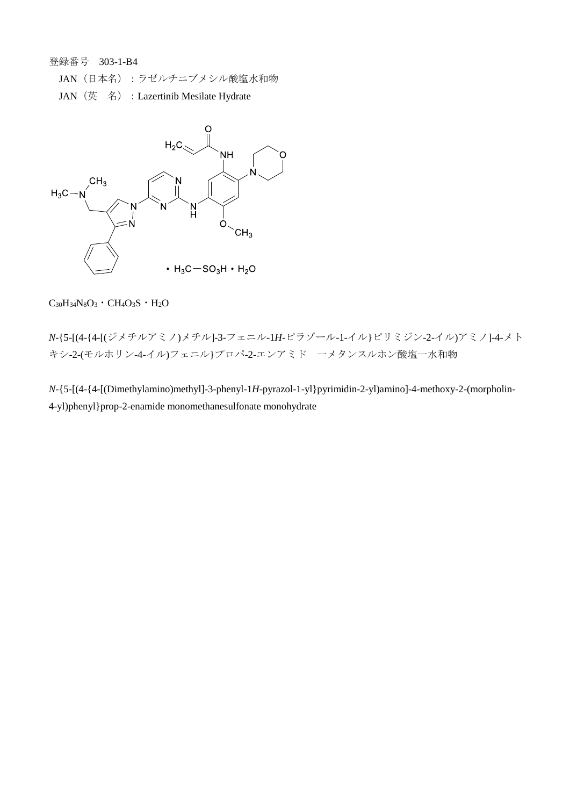登録番号 303-1-B4

- JAN (日本名):ラゼルチニブメシル酸塩水和物
- JAN (英 名) : Lazertinib Mesilate Hydrate



 $C_{30}H_{34}N_8O_3 \cdot CH_4O_3S \cdot H_2O$ 

*N*-{5-[(4-{4-[(ジメチルアミノ)メチル]-3-フェニル-1*H*-ピラゾール-1-イル}ピリミジン-2-イル)アミノ]-4-メト キシ-2-(モルホリン-4-イル)フェニル}プロパ-2-エンアミド 一メタンスルホン酸塩一水和物

*N*-{5-[(4-{4-[(Dimethylamino)methyl]-3-phenyl-1*H*-pyrazol-1-yl}pyrimidin-2-yl)amino]-4-methoxy-2-(morpholin-4-yl)phenyl}prop-2-enamide monomethanesulfonate monohydrate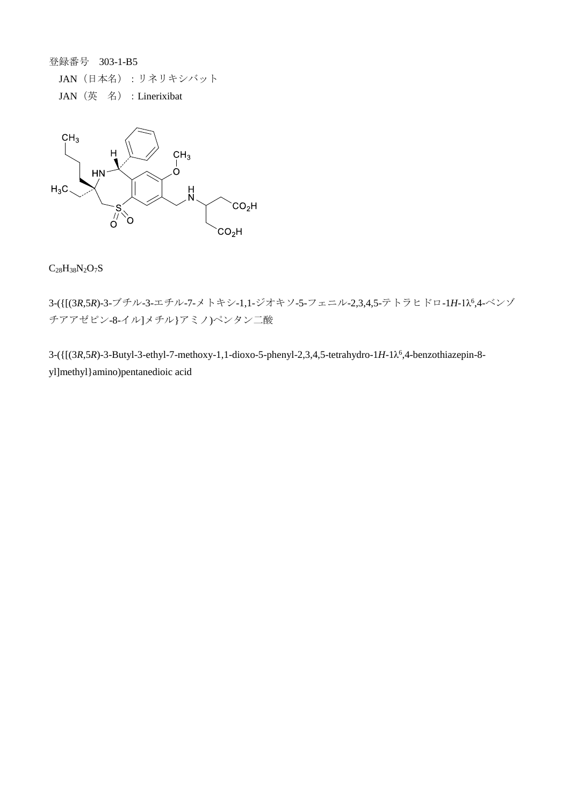登録番号 303-1-B5

JAN(日本名):リネリキシバット JAN (英名) : Linerixibat



 $C_{28}H_{38}N_2O_7S$ 

3-({[(3*R*,5*R*)-3-ブチル-3-エチル-7-メトキシ-1,1-ジオキソ-5-フェニル-2,3,4,5-テトラヒドロ-1*H*-1λ<sup>6</sup> ,4-ベンゾ チアアゼピン-8-イル]メチル}アミノ)ペンタン二酸

3-({[(3*R*,5*R*)-3-Butyl-3-ethyl-7-methoxy-1,1-dioxo-5-phenyl-2,3,4,5-tetrahydro-1*H*-1λ 6 ,4-benzothiazepin-8 yl]methyl}amino)pentanedioic acid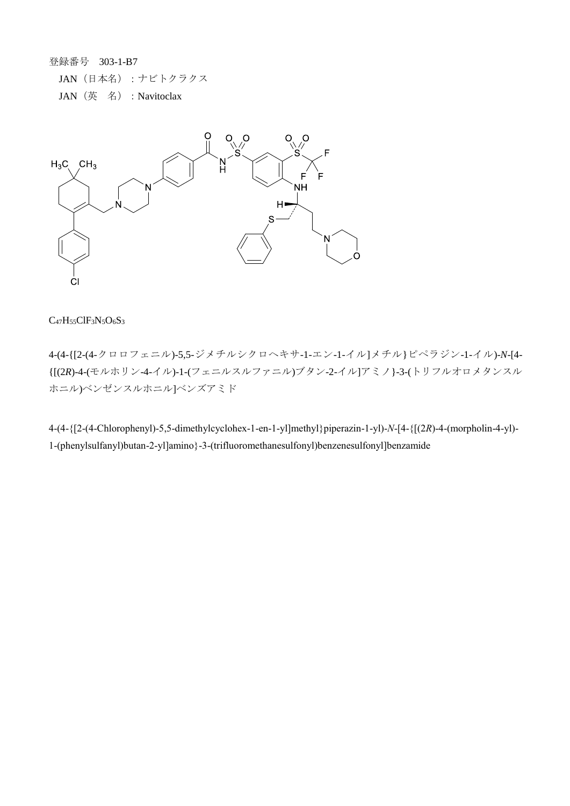登録番号 303-1-B7 JAN(日本名):ナビトクラクス JAN(英 名):Navitoclax



## $C_{47}H_{55}CIF_3N_5O_6S_3$

4-(4-{[2-(4-クロロフェニル)-5,5-ジメチルシクロヘキサ-1-エン-1-イル]メチル}ピペラジン-1-イル)-*N*-[4- {[(2*R*)-4-(モルホリン-4-イル)-1-(フェニルスルファニル)ブタン-2-イル]アミノ}-3-(トリフルオロメタンスル ホニル)ベンゼンスルホニル]ベンズアミド

4-(4-{[2-(4-Chlorophenyl)-5,5-dimethylcyclohex-1-en-1-yl]methyl}piperazin-1-yl)-*N*-[4-{[(2*R*)-4-(morpholin-4-yl)- 1-(phenylsulfanyl)butan-2-yl]amino}-3-(trifluoromethanesulfonyl)benzenesulfonyl]benzamide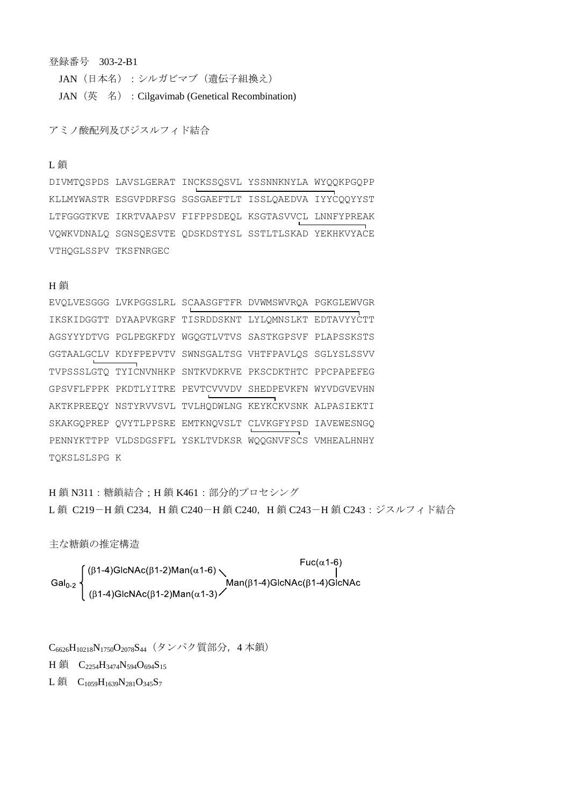### 登録番号 303-2-B1

JAN (日本名):シルガビマブ (遺伝子組換え) JAN (英名) : Cilgavimab (Genetical Recombination)

アミノ酸配列及びジスルフィド結合

### L 鎖

DIVMTQSPDS LAVSLGERAT INCKSSQSVL YSSNNKNYLA WYQQKPGQPP KLLMYWASTR ESGVPDRFSG SGSGAEFTLT ISSLQAEDVA IYYCQQYYST LTFGGGTKVE IKRTVAAPSV FIFPPSDEQL KSGTASVVCL LNNFYPREAK VQWKVDNALQ SGNSQESVTE QDSKDSTYSL SSTLTLSKAD YEKHKVYACE VTHQGLSSPV TKSFNRGEC

### **H**鎖

```
EVQLVESGGG LVKPGGSLRL SCAASGFTFR DVWMSWVRQA PGKGLEWVGR
IKSKIDGGTT DYAAPVKGRF TISRDDSKNT LYLQMNSLKT EDTAVYYCTT
AGSYYYDTVG PGLPEGKFDY WGQGTLVTVS SASTKGPSVF PLAPSSKSTS
GGTAALGCLV KDYFPEPVTV SWNSGALTSG VHTFPAVLQS SGLYSLSSVV
TVPSSSLGTQ TYICNVNHKP SNTKVDKRVE PKSCDKTHTC PPCPAPEFEG
GPSVFLFPPK PKDTLYITRE PEVTCVVVDV SHEDPEVKFN WYVDGVEVHN
AKTKPREEQY NSTYRVVSVL TVLHQDWLNG KEYKCKVSNK ALPASIEKTI
SKAKGQPREP QVYTLPPSRE EMTKNQVSLT CLVKGFYPSD IAVEWESNGQ
PENNYKTTPP VLDSDGSFFL YSKLTVDKSR WQQGNVFSCS VMHEALHNHY
TQKSLSLSPG K
```
H 鎖 N311:糖鎖結合;H 鎖 K461:部分的プロセシング L 鎖 C219-H 鎖 C234, H 鎖 C240-H 鎖 C240, H 鎖 C243-H 鎖 C243: ジスルフィド結合

主な糖鎖の推定構造

 $\text{Gal}_{0-2}\left\{\begin{array}{l}(\beta1-4)\text{GlcNAc}(\beta1-2)\text{Man}(\alpha1-6)\\ |\beta1-4)\text{GlcNAc}(\beta1-2)\text{Man}(\alpha1-3)\end{array}\right.$ Man( $\beta1-4$ )GlcNAc( $\beta1-4$ )GlcNAc

C<sub>6626</sub>H<sub>10218</sub>N<sub>1750</sub>O<sub>2078</sub>S<sub>44</sub> (タンパク質部分, 4本鎖)

H 鎖 C<sub>2254</sub>H<sub>3474</sub>N<sub>594</sub>O<sub>694</sub>S<sub>15</sub>

L鎖  $C_{1059}H_{1639}N_{281}O_{345}S_7$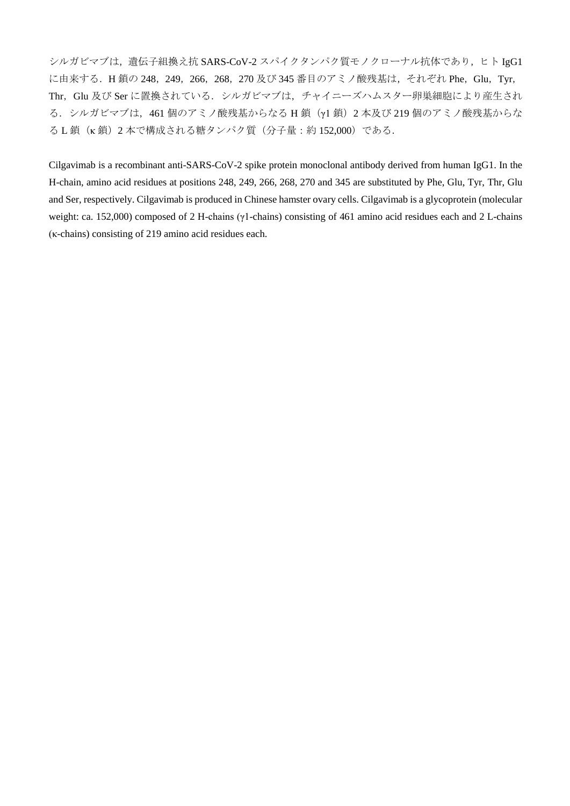シルガビマブは、遺伝子組換え抗 SARS-CoV-2 スパイクタンパク質モノクローナル抗体であり、ヒト IgG1 に由来する. H鎖の 248, 249, 266, 268, 270 及び 345 番目のアミノ酸残基は, それぞれ Phe, Glu, Tyr, Thr, Glu 及び Ser に置換されている. シルガビマブは、チャイニーズハムスター卵巣細胞により産生され る.シルガビマブは,461 個のアミノ酸残基からなる H 鎖(γ1 鎖)2 本及び 219 個のアミノ酸残基からな る L 鎖(κ 鎖)2 本で構成される糖タンパク質(分子量:約 152,000)である.

Cilgavimab is a recombinant anti-SARS-CoV-2 spike protein monoclonal antibody derived from human IgG1. In the H-chain, amino acid residues at positions 248, 249, 266, 268, 270 and 345 are substituted by Phe, Glu, Tyr, Thr, Glu and Ser, respectively. Cilgavimab is produced in Chinese hamster ovary cells. Cilgavimab is a glycoprotein (molecular weight: ca. 152,000) composed of 2 H-chains (γ1-chains) consisting of 461 amino acid residues each and 2 L-chains (κ-chains) consisting of 219 amino acid residues each.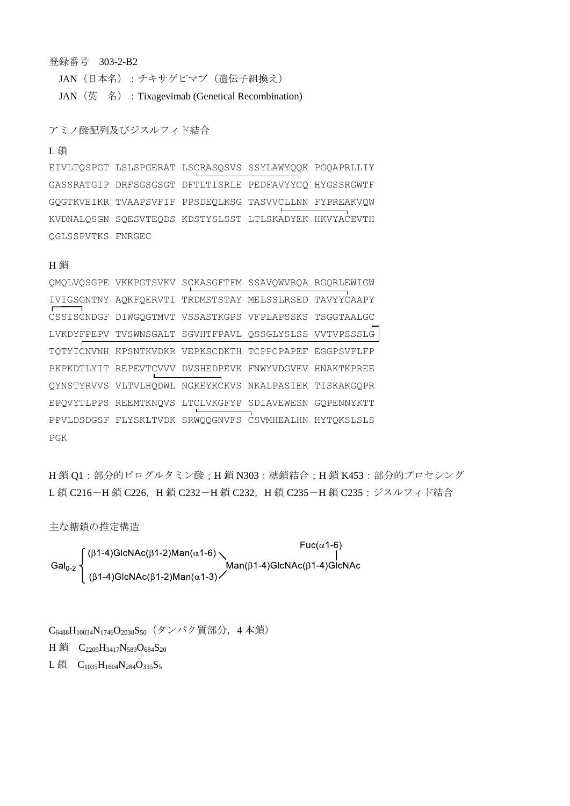登録番号 303-2-B2

JAN(日本名):チキサゲビマブ(遺伝子組換え) JAN (英 名) : Tixagevimab (Genetical Recombination)

アミノ酸配列及びジスルフィド結合

#### L 鎖

EIVLTQSPGT LSLSPGERAT LSCRASQSVS SSYLAWYQQK PGQAPRLLIY GASSRATGIP DRFSGSGSGT DFTLTISRLE PEDFAVYYCQ HYGSSRGWTF GQGTKVEIKR TVAAPSVFIF PPSDEQLKSG TASVVCLLNN FYPREAKVQW KVDNALQSGN SQESVTEQDS KDSTYSLSST LTLSKADYEK HKVYACEVTH QGLSSPVTKS FNRGEC

#### H 鎖

QMQLVQSGPE VKKPGTSVKV SCKASGFTFM SSAVQWVRQA RGQRLEWIGW IVIGSGNTNY AQKFQERVTI TRDMSTSTAY MELSSLRSED TAVYYCAAPY CSSISCNDGF DIWGQGTMVT VSSASTKGPS VFPLAPSSKS TSGGTAALGC LVKDYFPEPV TVSWNSGALT SGVHTFPAVL QSSGLYSLSS VVTVPSSSLG TQTYICNVNH KPSNTKVDKR VEPKSCDKTH TCPPCPAPEF EGGPSVFLFP PKPKDTLYIT REPEVTCVVV DVSHEDPEVK FNWYVDGVEV HNAKTKPREE QYNSTYRVVS VLTVLHQDWL NGKEYKCKVS NKALPASIEK TISKAKGQPR EPQVYTLPPS REEMTKNQVS LTCLVKGFYP SDIAVEWESN GQPENNYKTT PPVLDSDGSF FLYSKLTVDK SRWQQGNVFS CSVMHEALHN HYTQKSLSLS PGK

H鎖 Q1:部分的ピログルタミン酸;H鎖 N303:糖鎖結合;H鎖 K453:部分的プロセシング L鎖 C216-H鎖 C226, H鎖 C232-H鎖 C232, H鎖 C235-H鎖 C235:ジスルフィド結合

主な糖鎖の推定構造

$$
\text{Gal}_{0\text{-}2}\left\{\begin{array}{l}(\beta 1\text{-}4)\text{GlcNAc}(\beta 1\text{-}2)\text{Man}(\alpha 1\text{-}6)\\ \text{Gal}_{0\text{-}2}\left\{\begin{array}{l}(\beta 1\text{-}4)\text{GlcNAc}(\beta 1\text{-}2)\text{Man}(\alpha 1\text{-}6)\\ \text{Man}(\beta 1\text{-}4)\text{GlcNAc}(\beta 1\text{-}4)\text{GlcNAc} \end{array}\right.\right\}
$$

C<sub>6488</sub>H<sub>10034</sub>N<sub>1746</sub>O<sub>2038</sub>S<sub>50</sub> (タンパク質部分, 4本鎖) H 鎖 C<sub>2209</sub>H<sub>3417</sub>N<sub>589</sub>O<sub>684</sub>S<sub>20</sub> L鎖  $C_{1035}H_{1604}N_{284}O_{335}S_5$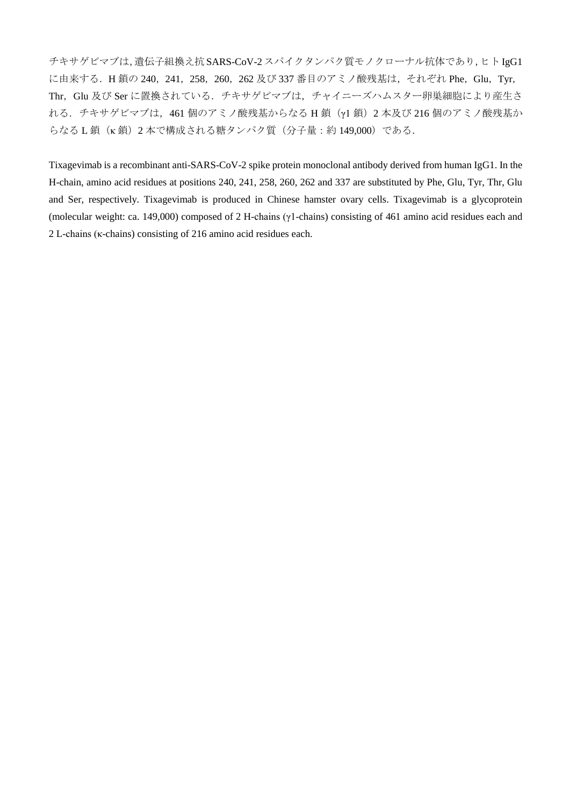チキサゲビマブは,遺伝子組換え抗SARS-CoV-2 スパイクタンパク質モノクローナル抗体であり,ヒトIgG1 に由来する. H鎖の 240, 241, 258, 260, 262 及び 337 番目のアミノ酸残基は, それぞれ Phe, Glu, Tyr, Thr, Glu 及び Ser に置換されている. チキサゲビマブは、チャイニーズハムスター卵巣細胞により産生さ れる.チキサゲビマブは,461 個のアミノ酸残基からなる H 鎖(γ1 鎖)2 本及び 216 個のアミノ酸残基か らなる L 鎖 (κ 鎖) 2 本で構成される糖タンパク質(分子量:約 149,000)である.

Tixagevimab is a recombinant anti-SARS-CoV-2 spike protein monoclonal antibody derived from human IgG1. In the H-chain, amino acid residues at positions 240, 241, 258, 260, 262 and 337 are substituted by Phe, Glu, Tyr, Thr, Glu and Ser, respectively. Tixagevimab is produced in Chinese hamster ovary cells. Tixagevimab is a glycoprotein (molecular weight: ca. 149,000) composed of 2 H-chains (γ1-chains) consisting of 461 amino acid residues each and 2 L-chains (κ-chains) consisting of 216 amino acid residues each.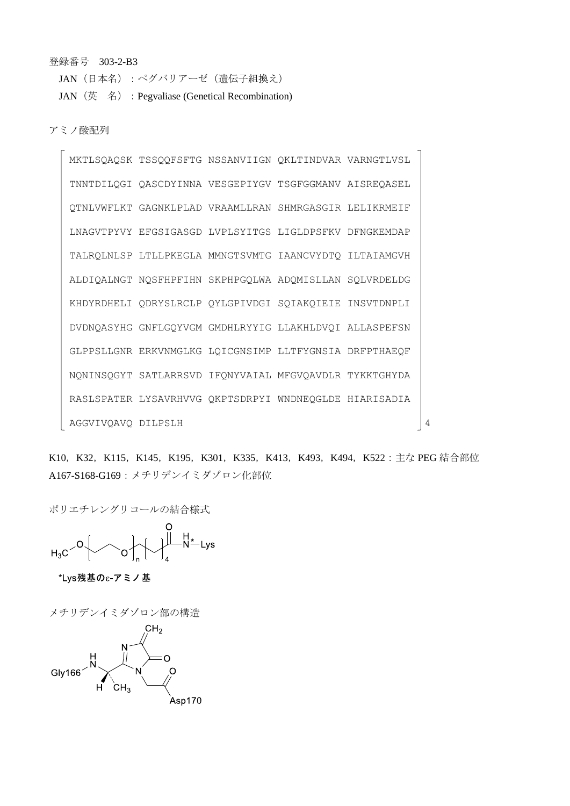登録番号 303-2-B3

JAN(日本名):ペグバリアーゼ(遺伝子組換え)

JAN (英名): Pegvaliase (Genetical Recombination)

アミノ酸配列

MKTLSQAQSK TSSQQFSFTG NSSANVIIGN QKLTINDVAR VARNGTLVSL TNNTDILQGI QASCDYINNA VESGEPIYGV TSGFGGMANV AISREQASEL QTNLVWFLKT GAGNKLPLAD VRAAMLLRAN SHMRGASGIR LELIKRMEIF LNAGVTPYVY EFGSIGASGD LVPLSYITGS LIGLDPSFKV DFNGKEMDAP TALRQLNLSP LTLLPKEGLA MMNGTSVMTG IAANCVYDTQ ILTAIAMGVH ALDIQALNGT NQSFHPFIHN SKPHPGQLWA ADQMISLLAN SQLVRDELDG KHDYRDHELI QDRYSLRCLP QYLGPIVDGI SQIAKQIEIE INSVTDNPLI DVDNQASYHG GNFLGQYVGM GMDHLRYYIG LLAKHLDVQI ALLASPEFSN GLPPSLLGNR ERKVNMGLKG LQICGNSIMP LLTFYGNSIA DRFPTHAEQF NQNINSQGYT SATLARRSVD IFQNYVAIAL MFGVQAVDLR TYKKTGHYDA RASLSPATER LYSAVRHVVG QKPTSDRPYI WNDNEQGLDE HIARISADIA AGGVIVQAVQ DILPSLH 4

K10, K32, K115, K145, K195, K301, K335, K413, K493, K494, K522: 主な PEG 結合部位 A167-S168-G169:メチリデンイミダゾロン化部位

ポリエチレングリコールの結合様式





メチリデンイミダゾロン部の構造Gly166